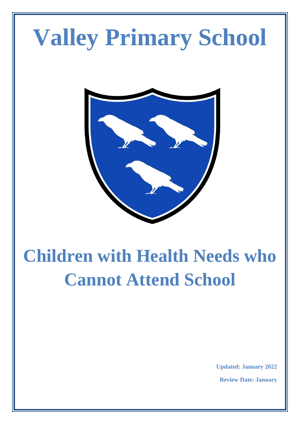# **Valley Primary School**



# **Children with Health Needs who Cannot Attend School**

**Updated: January 2022**

**Review Date: January**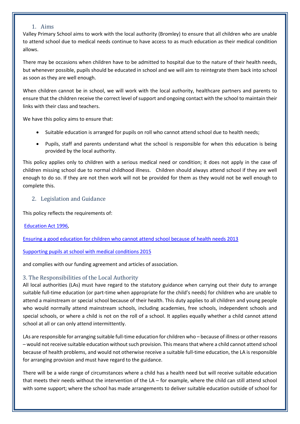#### 1. Aims

Valley Primary School aims to work with the local authority (Bromley) to ensure that all children who are unable to attend school due to medical needs continue to have access to as much education as their medical condition allows.

There may be occasions when children have to be admitted to hospital due to the nature of their health needs, but whenever possible, pupils should be educated in school and we will aim to reintegrate them back into school as soon as they are well enough.

When children cannot be in school, we will work with the local authority, healthcare partners and parents to ensure that the children receive the correct level of support and ongoing contact with the school to maintain their links with their class and teachers.

We have this policy aims to ensure that:

- Suitable education is arranged for pupils on roll who cannot attend school due to health needs;
- Pupils, staff and parents understand what the school is responsible for when this education is being provided by the local authority.

This policy applies only to children with a serious medical need or condition; it does not apply in the case of children missing school due to normal childhood illness. Children should always attend school if they are well enough to do so. If they are not then work will not be provided for them as they would not be well enough to complete this.

#### 2. Legislation and Guidance

This policy reflects the requirements of:

#### [Education Act 1996,](http://www.legislation.gov.uk/ukpga/1996/56/section/19)

[Ensuring a good education for children who cannot attend school because of health needs 2013](https://www.gov.uk/government/publications/education-for-children-with-health-needs-who-cannot-attend-school)

#### [Supporting pupils at school with medical conditions 2015](https://www.gov.uk/government/publications/supporting-pupils-at-school-with-medical-conditions--3)

and complies with our funding agreement and articles of association.

#### 3. The Responsibilities of the Local Authority

All local authorities (LAs) must have regard to the statutory guidance when carrying out their duty to arrange suitable full-time education (or part-time when appropriate for the child's needs) for children who are unable to attend a mainstream or special school because of their health. This duty applies to all children and young people who would normally attend mainstream schools, including academies, free schools, independent schools and special schools, or where a child is not on the roll of a school. It applies equally whether a child cannot attend school at all or can only attend intermittently.

LAs are responsible for arranging suitable full-time education for children who – because of illness or other reasons – would not receive suitable education without such provision. This means that where a child cannot attend school because of health problems, and would not otherwise receive a suitable full-time education, the LA is responsible for arranging provision and must have regard to the guidance.

There will be a wide range of circumstances where a child has a health need but will receive suitable education that meets their needs without the intervention of the LA – for example, where the child can still attend school with some support; where the school has made arrangements to deliver suitable education outside of school for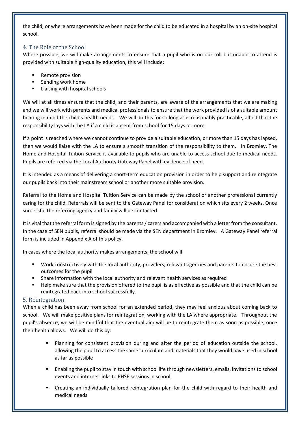the child; or where arrangements have been made for the child to be educated in a hospital by an on-site hospital school.

#### 4. The Role of the School

Where possible, we will make arrangements to ensure that a pupil who is on our roll but unable to attend is provided with suitable high-quality education, this will include:

- Remote provision
- Sending work home
- Liaising with hospital schools

We will at all times ensure that the child, and their parents, are aware of the arrangements that we are making and we will work with parents and medical professionals to ensure that the work provided is of a suitable amount bearing in mind the child's health needs. We will do this for so long as is reasonably practicable, albeit that the responsibility lays with the LA if a child is absent from school for 15 days or more.

If a point is reached where we cannot continue to provide a suitable education, or more than 15 days has lapsed, then we would liaise with the LA to ensure a smooth transition of the responsibility to them. In Bromley, The Home and Hospital Tuition Service is available to pupils who are unable to access school due to medical needs. Pupils are referred via the Local Authority Gateway Panel with evidence of need.

It is intended as a means of delivering a short-term education provision in order to help support and reintegrate our pupils back into their mainstream school or another more suitable provision.

Referral to the Home and Hospital Tuition Service can be made by the school or another professional currently caring for the child. Referrals will be sent to the Gateway Panel for consideration which sits every 2 weeks. Once successful the referring agency and family will be contacted.

It is vital that the referral form is signed by the parents / carers and accompanied with a letter from the consultant. In the case of SEN pupils, referral should be made via the SEN department in Bromley. A Gateway Panel referral form is included in Appendix A of this policy.

In cases where the local authority makes arrangements, the school will:

- Work constructively with the local authority, providers, relevant agencies and parents to ensure the best outcomes for the pupil
- Share information with the local authority and relevant health services as required
- Help make sure that the provision offered to the pupil is as effective as possible and that the child can be reintegrated back into school successfully.

#### 5. Reintegration

When a child has been away from school for an extended period, they may feel anxious about coming back to school. We will make positive plans for reintegration, working with the LA where appropriate. Throughout the pupil's absence, we will be mindful that the eventual aim will be to reintegrate them as soon as possible, once their health allows. We will do this by:

- Planning for consistent provision during and after the period of education outside the school, allowing the pupil to access the same curriculum and materials that they would have used in school as far as possible
- Enabling the pupil to stay in touch with school life through newsletters, emails, invitations to school events and internet links to PHSE sessions in school
- Creating an individually tailored reintegration plan for the child with regard to their health and medical needs.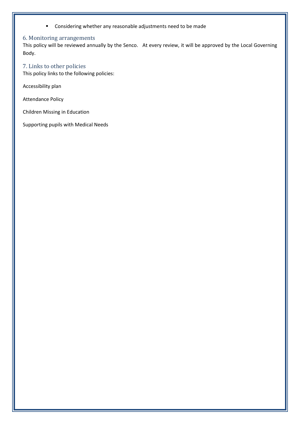■ Considering whether any reasonable adjustments need to be made

#### 6. Monitoring arrangements

This policy will be reviewed annually by the Senco. At every review, it will be approved by the Local Governing Body.

## 7. Links to other policies

This policy links to the following policies:

Accessibility plan

Attendance Policy

Children Missing in Education

Supporting pupils with Medical Needs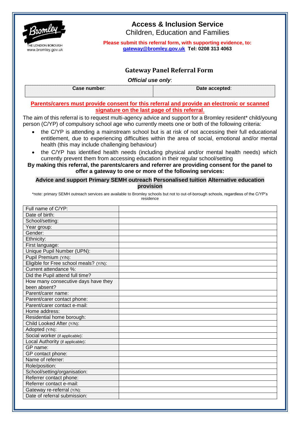

# **Access & Inclusion Service**

Children, Education and Families

**Please submit this referral form, with supporting evidence, to: [gateway@bromley.gov.uk](mailto:gateway@bromley.gov.uk) Tel: 0208 313 4063**

# **Gateway Panel Referral Form**

*Official use only*:

| Case<br>. | <b>Address</b> |  |
|-----------|----------------|--|
|           |                |  |

#### **Parents/carers must provide consent for this referral and provide an electronic or scanned signature on the last page of this referral**.

The aim of this referral is to request multi-agency advice and support for a Bromley resident\* child/young person (C/YP) of compulsory school age who currently meets one or both of the following criteria:

- the C/YP is attending a mainstream school but is at risk of not accessing their full educational entitlement, due to experiencing difficulties within the area of social, emotional and/or mental health (this may include challenging behaviour)
- the C/YP has identified health needs (including physical and/or mental health needs) which currently prevent them from accessing education in their regular school/setting

#### **By making this referral, the parents/carers and referrer are providing consent for the panel to offer a gateway to one or more of the following services:**

#### **Advice and support Primary SEMH outreach Personalised tuition Alternative education provision**

\*note: primary SEMH outreach services are available to Bromley schools but not to out-of-borough schools, regardless of the C/YP's residence

| Full name of C/YP:                     |  |
|----------------------------------------|--|
| Date of birth:                         |  |
| School/setting:                        |  |
| Year group:                            |  |
| Gender:                                |  |
| Ethnicity:                             |  |
| First language:                        |  |
| Unique Pupil Number (UPN):             |  |
| Pupil Premium (Y/N):                   |  |
| Eligible for Free school meals? (Y/N): |  |
| Current attendance %:                  |  |
| Did the Pupil attend full time?        |  |
| How many consecutive days have they    |  |
| been absent?                           |  |
| Parent/carer name:                     |  |
| Parent/carer contact phone:            |  |
| Parent/carer contact e-mail:           |  |
| Home address:                          |  |
| Residential home borough:              |  |
| Child Looked After (Y/N):              |  |
| Adopted (Y/N):                         |  |
| Social worker (if applicable):         |  |
| Local Authority (if applicable):       |  |
| GP name:                               |  |
| GP contact phone:                      |  |
| Name of referrer:                      |  |
| Role/position:                         |  |
| School/setting/organisation:           |  |
| Referrer contact phone:                |  |
| Referrer contact e-mail:               |  |
| Gateway re-referral (Y/N):             |  |
| Date of referral submission:           |  |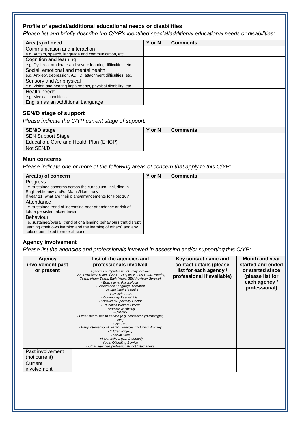#### **Profile of special/additional educational needs or disabilities**

*Please list and briefly describe the C/YP's identified special/additional educational needs or disabilities:*

| Area(s) of need                                                | Y or N | <b>Comments</b> |
|----------------------------------------------------------------|--------|-----------------|
| Communication and interaction                                  |        |                 |
| e.g. Autism, speech, language and communication, etc.          |        |                 |
| Cognition and learning                                         |        |                 |
| e.g. Dyslexia, moderate and severe learning difficulties, etc. |        |                 |
| Social, emotional and mental health                            |        |                 |
| e.g. Anxiety, depression, ADHD, attachment difficulties, etc.  |        |                 |
| Sensory and /or physical                                       |        |                 |
| e.g. Vision and hearing impairments, physical disability, etc. |        |                 |
| Health needs                                                   |        |                 |
| e.g. Medical conditions                                        |        |                 |
| English as an Additional Language                              |        |                 |

#### **SEN/D stage of support**

*Please indicate the C/YP current stage of support:*

| <b>SEN/D stage</b>                     | Y or N | <b>Comments</b> |
|----------------------------------------|--------|-----------------|
| <b>SEN Support Stage</b>               |        |                 |
| Education, Care and Health Plan (EHCP) |        |                 |
| Not SEN/D                              |        |                 |

#### **Main concerns**

*Please indicate one or more of the following areas of concern that apply to this C/YP:*

| Area(s) of concern                                                  | <b>Y</b> or N | <b>Comments</b> |
|---------------------------------------------------------------------|---------------|-----------------|
| <b>Progress</b>                                                     |               |                 |
| i.e. sustained concerns across the curriculum, including in         |               |                 |
| English/Literacy and/or Maths/Numeracy                              |               |                 |
| If year 11, what are their plans/arrangements for Post 16?          |               |                 |
| Attendance                                                          |               |                 |
| i.e. sustained trend of increasing poor attendance or risk of       |               |                 |
| future persistent absenteeism                                       |               |                 |
| Behaviour                                                           |               |                 |
| i.e. sustained/overall trend of challenging behaviours that disrupt |               |                 |
| learning (their own learning and the learning of others) and any    |               |                 |
| subsequent fixed term exclusions                                    |               |                 |
|                                                                     |               |                 |

#### **Agency involvement**

*Please list the agencies and professionals involved in assessing and/or supporting this C/YP:*

| <b>Agency</b><br>involvement past<br>or present | List of the agencies and<br>professionals involved<br>Agencies and professionals may include:<br>- SEN Advisory Teams (ISAT, Complex Needs Team, Hearing<br>Team, Vision Team, Early Years SEN Advisory Service)<br>- Educational Psychologist<br>- Speech and Language Therapist<br>- Occupational Therapist<br>- Physiotherapist<br>- Community Paediatrician<br>- Consultant/Speciality Doctor<br>- Education Welfare Officer<br>- Bromley Wellbeing<br>- CAMHS<br>- Other mental health service (e.g. counsellor, psychologist,<br>etc.<br>- CAF Team<br>- Early Intervention & Family Services (including Bromley<br>Children Project)<br>- Social Care<br>- Virtual School (CLA/Adopted)<br>Youth Offending Service<br>- Other agencies/professionals not listed above | Key contact name and<br>contact details (please<br>list for each agency /<br>professional if available) | Month and year<br>started and ended<br>or started since<br>(please list for<br>each agency /<br>professional) |
|-------------------------------------------------|------------------------------------------------------------------------------------------------------------------------------------------------------------------------------------------------------------------------------------------------------------------------------------------------------------------------------------------------------------------------------------------------------------------------------------------------------------------------------------------------------------------------------------------------------------------------------------------------------------------------------------------------------------------------------------------------------------------------------------------------------------------------------|---------------------------------------------------------------------------------------------------------|---------------------------------------------------------------------------------------------------------------|
| Past involvement<br>(not current)               |                                                                                                                                                                                                                                                                                                                                                                                                                                                                                                                                                                                                                                                                                                                                                                              |                                                                                                         |                                                                                                               |
| Current<br>involvement                          |                                                                                                                                                                                                                                                                                                                                                                                                                                                                                                                                                                                                                                                                                                                                                                              |                                                                                                         |                                                                                                               |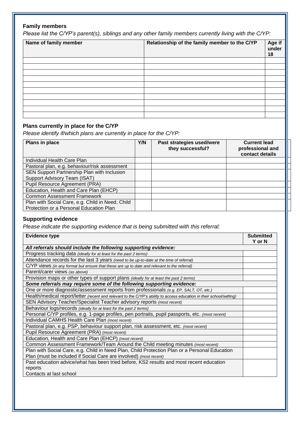# **Family members**

*Please list the C/YP's parent(s), siblings and any other family members currently living with the C/YP:*

| Name of family member | Relationship of the family member to the C/YP | Age if<br>under<br>18 |
|-----------------------|-----------------------------------------------|-----------------------|
|                       |                                               |                       |
|                       |                                               |                       |
|                       |                                               |                       |
|                       |                                               |                       |
|                       |                                               |                       |
|                       |                                               |                       |
|                       |                                               |                       |
|                       |                                               |                       |
|                       |                                               |                       |
|                       |                                               |                       |

## **Plans currently in place for the C/YP**

*Please identify if/which plans are currently in place for the C/YP:*

| Plans in place                                                                              | Y/N | Past strategies used/were<br>they successful? | <b>Current lead</b><br>professional and<br>contact details |
|---------------------------------------------------------------------------------------------|-----|-----------------------------------------------|------------------------------------------------------------|
| Individual Health Care Plan                                                                 |     |                                               |                                                            |
| Pastoral plan, e.g. behaviour/risk assessment                                               |     |                                               |                                                            |
| SEN Support Partnership Plan with Inclusion                                                 |     |                                               |                                                            |
| Support Advisory Team (ISAT)                                                                |     |                                               |                                                            |
| Pupil Resource Agreement (PRA)                                                              |     |                                               |                                                            |
| Education, Health and Care Plan (EHCP)                                                      |     |                                               |                                                            |
| <b>Common Assessment Framework</b>                                                          |     |                                               |                                                            |
| Plan with Social Care, e.g. Child in Need, Child<br>Protection or a Personal Education Plan |     |                                               |                                                            |

# **Supporting evidence**

*Please indicate the supporting evidence that is being submitted with this referral:*

| <b>Evidence type</b>                                                                                                 | <b>Submitted</b><br>Y or N |
|----------------------------------------------------------------------------------------------------------------------|----------------------------|
| All referrals should include the following supporting evidence:                                                      |                            |
| Progress tracking data (ideally for at least for the past 2 terms)                                                   |                            |
| Attendance records for the last 3 years (need to be up-to-date at the time of referral)                              |                            |
| C/YP views (in any format but ensure that these are up to date and relevant to the referral)                         |                            |
| Parent/carer views (as above)                                                                                        |                            |
| Provision maps or other types of support plans (ideally for at least the past 2 terms)                               |                            |
| Some referrals may require some of the following supporting evidence:                                                |                            |
| One or more diagnostic/assessment reports from professionals (e.g. EP, SALT, OT, etc.)                               |                            |
| Health/medical report/letter (recent and relevant to the C/YP's ability to access education in their school/setting) |                            |
| SEN Advisory Teacher/Specialist Teacher advisory reports (most recent)                                               |                            |
| Behaviour logs/records (ideally for at least for the past 2 terms)                                                   |                            |
| Personal C/YP profiles, e.g. 1-page profiles, pen portraits, pupil passports, etc. (most recent)                     |                            |
| Individual CAMHS Health Care Plan (most recent)                                                                      |                            |
| Pastoral plan, e.g. PSP, behaviour support plan, risk assessment, etc. (most recent)                                 |                            |
| Pupil Resource Agreement (PRA) (most recent)                                                                         |                            |
| Education, Health and Care Plan (EHCP) (most recent)                                                                 |                            |
| Common Assessment Framework/Team Around the Child meeting minutes (most recent)                                      |                            |
| Plan with Social Care, e.g. Child in Need Plan, Child Protection Plan or a Personal Education                        |                            |
| Plan (must be included if Social Care are involved) (most recent)                                                    |                            |
| Past education advice/what has been tried before, KS2 results and most recent education                              |                            |
| reports                                                                                                              |                            |
| Contacts at last school                                                                                              |                            |